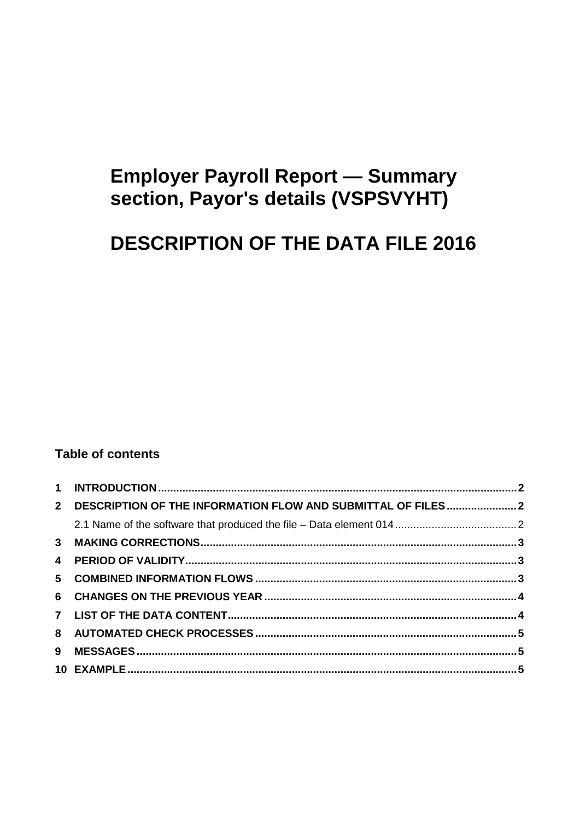# **Employer Payroll Report - Summary** section, Payor's details (VSPSVYHT)

# **DESCRIPTION OF THE DATA FILE 2016**

## **Table of contents**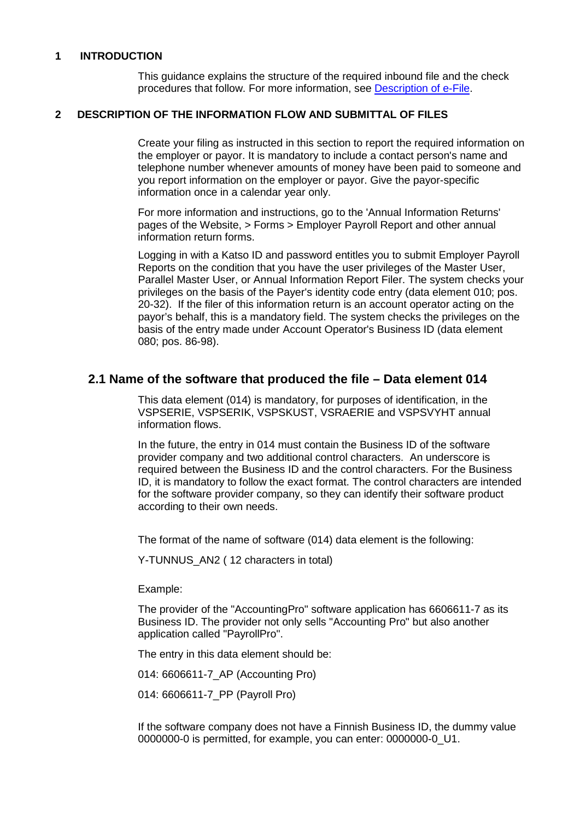#### <span id="page-1-0"></span>**1 INTRODUCTION**

This guidance explains the structure of the required inbound file and the check procedures that follow. For more information, see [Description of e-File.](http://www.vero.fi/download/Sahkoisen_ilmoittamisen_yleiskuvaus_ENGL20/%7B956D482C-4A28-48D2-BE25-00112D97AE00%7D/12064)

#### <span id="page-1-1"></span>**2 DESCRIPTION OF THE INFORMATION FLOW AND SUBMITTAL OF FILES**

Create your filing as instructed in this section to report the required information on the employer or payor. It is mandatory to include a contact person's name and telephone number whenever amounts of money have been paid to someone and you report information on the employer or payor. Give the payor-specific information once in a calendar year only.

For more information and instructions, go to the 'Annual Information Returns' pages of the Website, > Forms > Employer Payroll Report and other annual information return forms.

Logging in with a Katso ID and password entitles you to submit Employer Payroll Reports on the condition that you have the user privileges of the Master User, Parallel Master User, or Annual Information Report Filer. The system checks your privileges on the basis of the Payer's identity code entry (data element 010; pos. 20-32). If the filer of this information return is an account operator acting on the payor's behalf, this is a mandatory field. The system checks the privileges on the basis of the entry made under Account Operator's Business ID (data element 080; pos. 86-98).

### <span id="page-1-2"></span>**2.1 Name of the software that produced the file – Data element 014**

This data element (014) is mandatory, for purposes of identification, in the VSPSERIE, VSPSERIK, VSPSKUST, VSRAERIE and VSPSVYHT annual information flows.

In the future, the entry in 014 must contain the Business ID of the software provider company and two additional control characters. An underscore is required between the Business ID and the control characters. For the Business ID, it is mandatory to follow the exact format. The control characters are intended for the software provider company, so they can identify their software product according to their own needs.

The format of the name of software (014) data element is the following:

Y-TUNNUS AN2 (12 characters in total)

Example:

The provider of the "AccountingPro" software application has 6606611-7 as its Business ID. The provider not only sells "Accounting Pro" but also another application called "PayrollPro".

The entry in this data element should be:

014: 6606611-7\_AP (Accounting Pro)

014: 6606611-7\_PP (Payroll Pro)

If the software company does not have a Finnish Business ID, the dummy value 0000000-0 is permitted, for example, you can enter: 0000000-0\_U1.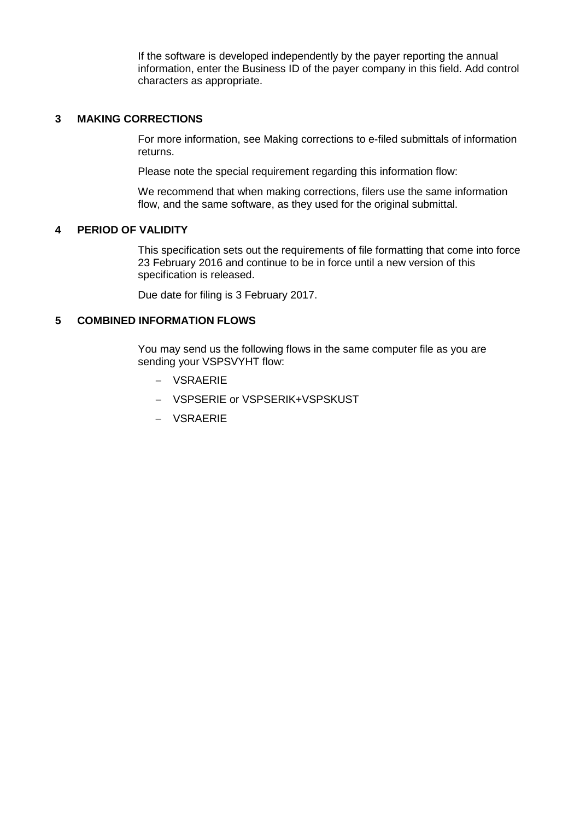If the software is developed independently by the payer reporting the annual information, enter the Business ID of the payer company in this field. Add control characters as appropriate.

#### <span id="page-2-0"></span>**3 MAKING CORRECTIONS**

For more information, see Making corrections to e-filed submittals of information returns.

Please note the special requirement regarding this information flow:

We recommend that when making corrections, filers use the same information flow, and the same software, as they used for the original submittal.

#### <span id="page-2-1"></span>**4 PERIOD OF VALIDITY**

This specification sets out the requirements of file formatting that come into force 23 February 2016 and continue to be in force until a new version of this specification is released.

Due date for filing is 3 February 2017.

#### <span id="page-2-2"></span>**5 COMBINED INFORMATION FLOWS**

You may send us the following flows in the same computer file as you are sending your VSPSVYHT flow:

- − VSRAERIE
- − VSPSERIE or VSPSERIK+VSPSKUST
- − VSRAERIE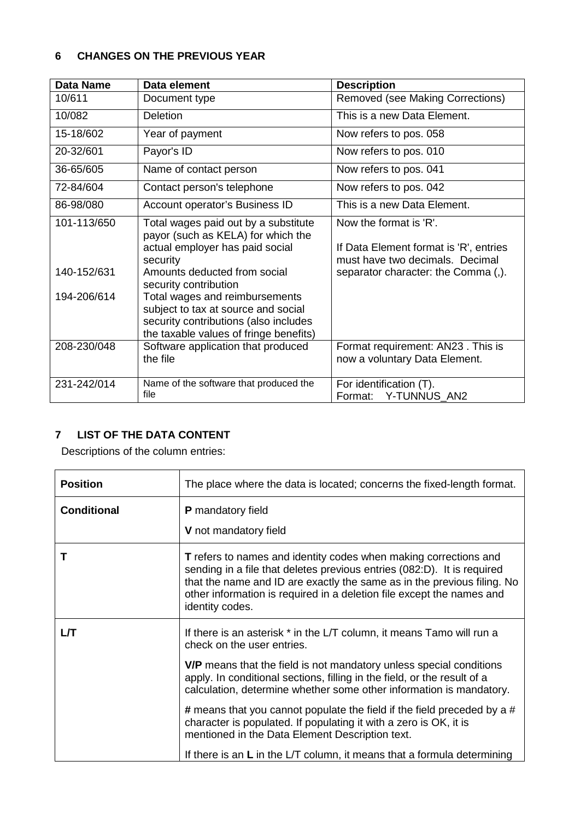### <span id="page-3-0"></span>**6 CHANGES ON THE PREVIOUS YEAR**

| <b>Data Name</b>                          | Data element                                                                                                                                                                                                                                                                                                                                   | <b>Description</b>                                                                                                                         |
|-------------------------------------------|------------------------------------------------------------------------------------------------------------------------------------------------------------------------------------------------------------------------------------------------------------------------------------------------------------------------------------------------|--------------------------------------------------------------------------------------------------------------------------------------------|
| 10/611                                    | Document type                                                                                                                                                                                                                                                                                                                                  | Removed (see Making Corrections)                                                                                                           |
| 10/082                                    | Deletion                                                                                                                                                                                                                                                                                                                                       | This is a new Data Element.                                                                                                                |
| 15-18/602                                 | Year of payment                                                                                                                                                                                                                                                                                                                                | Now refers to pos. 058                                                                                                                     |
| 20-32/601                                 | Payor's ID                                                                                                                                                                                                                                                                                                                                     | Now refers to pos. 010                                                                                                                     |
| 36-65/605                                 | Name of contact person                                                                                                                                                                                                                                                                                                                         | Now refers to pos. 041                                                                                                                     |
| 72-84/604                                 | Contact person's telephone                                                                                                                                                                                                                                                                                                                     | Now refers to pos. 042                                                                                                                     |
| 86-98/080                                 | Account operator's Business ID                                                                                                                                                                                                                                                                                                                 | This is a new Data Element.                                                                                                                |
| 101-113/650<br>140-152/631<br>194-206/614 | Total wages paid out by a substitute<br>payor (such as KELA) for which the<br>actual employer has paid social<br>security<br>Amounts deducted from social<br>security contribution<br>Total wages and reimbursements<br>subject to tax at source and social<br>security contributions (also includes<br>the taxable values of fringe benefits) | Now the format is 'R'.<br>If Data Element format is 'R', entries<br>must have two decimals. Decimal<br>separator character: the Comma (,). |
| 208-230/048                               | Software application that produced<br>the file                                                                                                                                                                                                                                                                                                 | Format requirement: AN23. This is<br>now a voluntary Data Element.                                                                         |
| 231-242/014                               | Name of the software that produced the<br>file                                                                                                                                                                                                                                                                                                 | For identification (T).<br>Format: Y-TUNNUS_AN2                                                                                            |

## <span id="page-3-1"></span>**7 LIST OF THE DATA CONTENT**

Descriptions of the column entries:

| <b>Position</b>    | The place where the data is located; concerns the fixed-length format.                                                                                                                                                                                                                                                    |  |  |
|--------------------|---------------------------------------------------------------------------------------------------------------------------------------------------------------------------------------------------------------------------------------------------------------------------------------------------------------------------|--|--|
| <b>Conditional</b> | <b>P</b> mandatory field                                                                                                                                                                                                                                                                                                  |  |  |
|                    | V not mandatory field                                                                                                                                                                                                                                                                                                     |  |  |
| Τ                  | <b>T</b> refers to names and identity codes when making corrections and<br>sending in a file that deletes previous entries (082:D). It is required<br>that the name and ID are exactly the same as in the previous filing. No<br>other information is required in a deletion file except the names and<br>identity codes. |  |  |
| LЛ                 | If there is an asterisk * in the L/T column, it means Tamo will run a<br>check on the user entries.                                                                                                                                                                                                                       |  |  |
|                    | V/P means that the field is not mandatory unless special conditions<br>apply. In conditional sections, filling in the field, or the result of a<br>calculation, determine whether some other information is mandatory.                                                                                                    |  |  |
|                    | <b>#</b> means that you cannot populate the field if the field preceded by a #<br>character is populated. If populating it with a zero is OK, it is<br>mentioned in the Data Element Description text.                                                                                                                    |  |  |
|                    | If there is an $L$ in the $L/T$ column, it means that a formula determining                                                                                                                                                                                                                                               |  |  |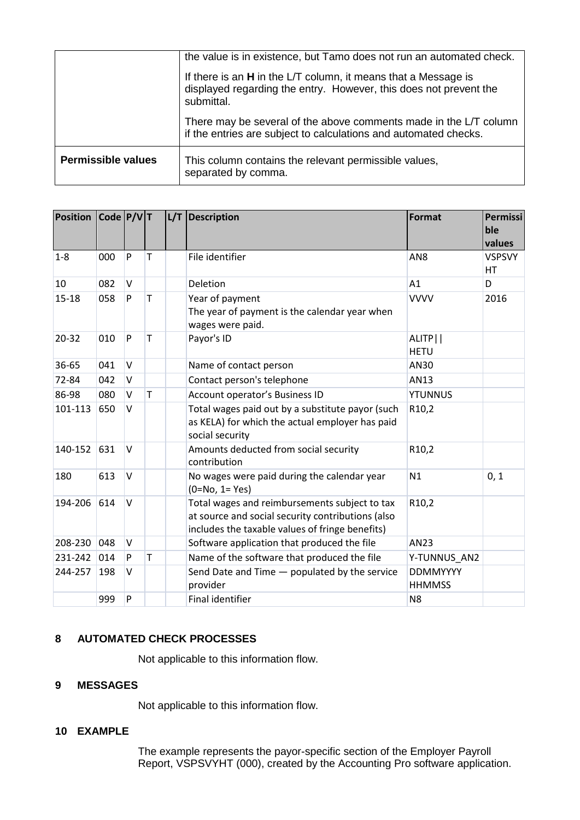|                           | the value is in existence, but Tamo does not run an automated check.<br>If there is an H in the L/T column, it means that a Message is<br>displayed regarding the entry. However, this does not prevent the<br>submittal. |  |  |
|---------------------------|---------------------------------------------------------------------------------------------------------------------------------------------------------------------------------------------------------------------------|--|--|
|                           | There may be several of the above comments made in the L/T column<br>if the entries are subject to calculations and automated checks.                                                                                     |  |  |
| <b>Permissible values</b> | This column contains the relevant permissible values,<br>separated by comma.                                                                                                                                              |  |  |

| <b>Position</b> | $\vert$ Code $\vert$ P/V $\vert$ T |        |              | L/T Description                                                                                                                                       | <b>Format</b>                    | Permissi<br>ble<br>values  |
|-----------------|------------------------------------|--------|--------------|-------------------------------------------------------------------------------------------------------------------------------------------------------|----------------------------------|----------------------------|
| $1 - 8$         | 000                                | P      | т            | File identifier                                                                                                                                       | AN <sub>8</sub>                  | <b>VSPSVY</b><br><b>HT</b> |
| 10              | 082                                | $\vee$ |              | Deletion                                                                                                                                              | A1                               | D                          |
| $15 - 18$       | 058                                | P      | T            | Year of payment<br>The year of payment is the calendar year when<br>wages were paid.                                                                  | <b>VVVV</b>                      | 2016                       |
| $20 - 32$       | 010                                | P      | T            | Payor's ID                                                                                                                                            | ALITP  <br><b>HETU</b>           |                            |
| 36-65           | 041                                | $\vee$ |              | Name of contact person                                                                                                                                | AN30                             |                            |
| 72-84           | 042                                | $\vee$ |              | Contact person's telephone                                                                                                                            | AN13                             |                            |
| 86-98           | 080                                | $\vee$ | $\mathsf{T}$ | Account operator's Business ID                                                                                                                        | <b>YTUNNUS</b>                   |                            |
| 101-113         | 650                                | $\vee$ |              | Total wages paid out by a substitute payor (such<br>as KELA) for which the actual employer has paid<br>social security                                | R10,2                            |                            |
| 140-152         | 631                                | $\vee$ |              | Amounts deducted from social security<br>contribution                                                                                                 | R <sub>10</sub> ,2               |                            |
| 180             | 613                                | $\vee$ |              | No wages were paid during the calendar year<br>$(0=No, 1=Yes)$                                                                                        | N1                               | 0, 1                       |
| 194-206         | 614                                | $\vee$ |              | Total wages and reimbursements subject to tax<br>at source and social security contributions (also<br>includes the taxable values of fringe benefits) | R10,2                            |                            |
| 208-230         | 048                                | $\vee$ |              | Software application that produced the file                                                                                                           | AN23                             |                            |
| 231-242         | 014                                | P      | $\mathsf T$  | Name of the software that produced the file                                                                                                           | Y-TUNNUS_AN2                     |                            |
| 244-257         | 198                                | $\vee$ |              | Send Date and Time - populated by the service<br>provider                                                                                             | <b>DDMMYYYY</b><br><b>HHMMSS</b> |                            |
|                 | 999                                | P      |              | Final identifier                                                                                                                                      | N <sub>8</sub>                   |                            |

#### <span id="page-4-0"></span>**8 AUTOMATED CHECK PROCESSES**

Not applicable to this information flow.

#### <span id="page-4-1"></span>**9 MESSAGES**

Not applicable to this information flow.

#### <span id="page-4-2"></span>**10 EXAMPLE**

The example represents the payor-specific section of the Employer Payroll Report, VSPSVYHT (000), created by the Accounting Pro software application.